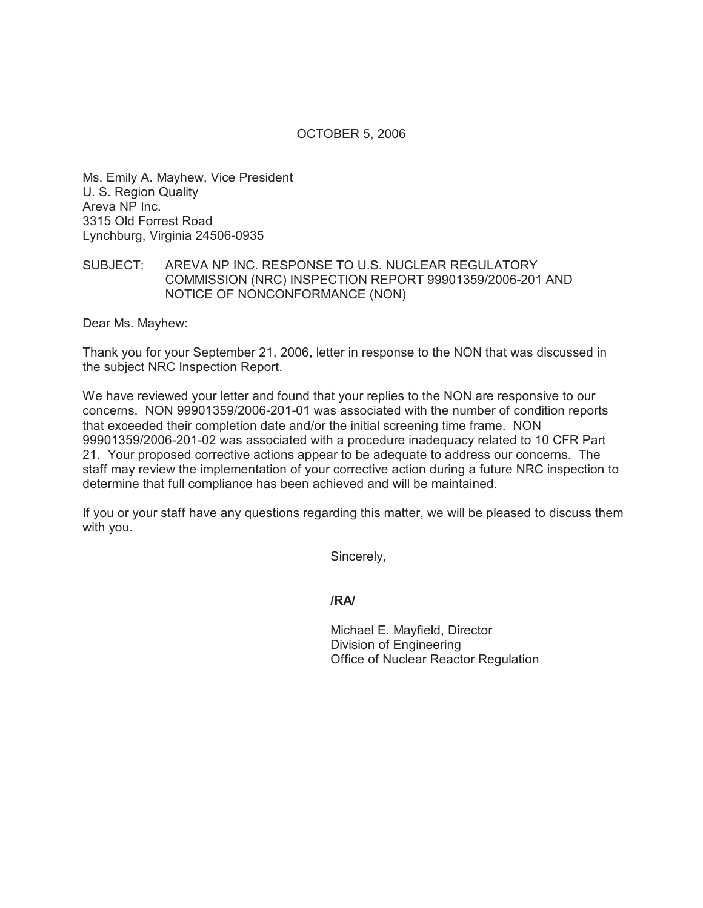## OCTOBER 5, 2006

Ms. Emily A. Mayhew, Vice President U. S. Region Quality Areva NP Inc. 3315 Old Forrest Road Lynchburg, Virginia 24506-0935

## SUBJECT: AREVA NP INC. RESPONSE TO U.S. NUCLEAR REGULATORY COMMISSION (NRC) INSPECTION REPORT 99901359/2006-201 AND NOTICE OF NONCONFORMANCE (NON)

Dear Ms. Mayhew:

Thank you for your September 21, 2006, letter in response to the NON that was discussed in the subject NRC Inspection Report.

We have reviewed your letter and found that your replies to the NON are responsive to our concerns. NON 99901359/2006-201-01 was associated with the number of condition reports that exceeded their completion date and/or the initial screening time frame. NON 99901359/2006-201-02 was associated with a procedure inadequacy related to 10 CFR Part 21. Your proposed corrective actions appear to be adequate to address our concerns. The staff may review the implementation of your corrective action during a future NRC inspection to determine that full compliance has been achieved and will be maintained.

If you or your staff have any questions regarding this matter, we will be pleased to discuss them with you.

Sincerely,

**/RA/**

Michael E. Mayfield, Director Division of Engineering Office of Nuclear Reactor Regulation